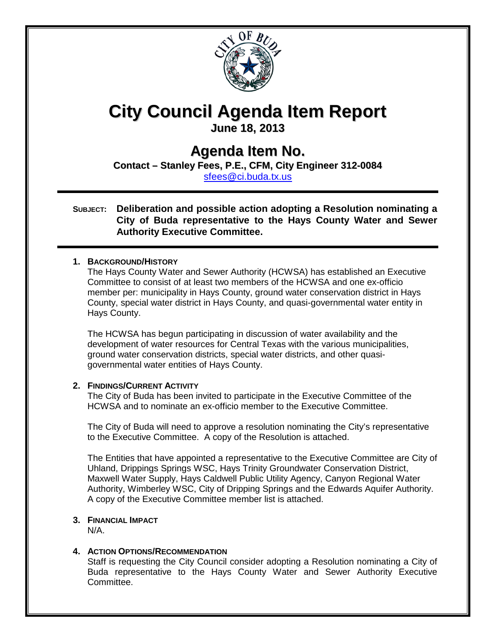

# **City Council Agenda Item Report**

**June 18, 2013**

### **Agenda Item No.**

**Contact – Stanley Fees, P.E., CFM, City Engineer 312-0084** [sfees@ci.buda.tx.us](mailto:sfees@ci.buda.tx.us) 

#### **SUBJECT: Deliberation and possible action adopting a Resolution nominating a City of Buda representative to the Hays County Water and Sewer Authority Executive Committee.**

#### **1. BACKGROUND/HISTORY**

The Hays County Water and Sewer Authority (HCWSA) has established an Executive Committee to consist of at least two members of the HCWSA and one ex-officio member per: municipality in Hays County, ground water conservation district in Hays County, special water district in Hays County, and quasi-governmental water entity in Hays County.

The HCWSA has begun participating in discussion of water availability and the development of water resources for Central Texas with the various municipalities, ground water conservation districts, special water districts, and other quasigovernmental water entities of Hays County.

#### **2. FINDINGS/CURRENT ACTIVITY**

The City of Buda has been invited to participate in the Executive Committee of the HCWSA and to nominate an ex-officio member to the Executive Committee.

The City of Buda will need to approve a resolution nominating the City's representative to the Executive Committee. A copy of the Resolution is attached.

The Entities that have appointed a representative to the Executive Committee are City of Uhland, Drippings Springs WSC, Hays Trinity Groundwater Conservation District, Maxwell Water Supply, Hays Caldwell Public Utility Agency, Canyon Regional Water Authority, Wimberley WSC, City of Dripping Springs and the Edwards Aquifer Authority. A copy of the Executive Committee member list is attached.

#### **3. FINANCIAL IMPACT**

N/A.

#### **4. ACTION OPTIONS/RECOMMENDATION**

Staff is requesting the City Council consider adopting a Resolution nominating a City of Buda representative to the Hays County Water and Sewer Authority Executive Committee.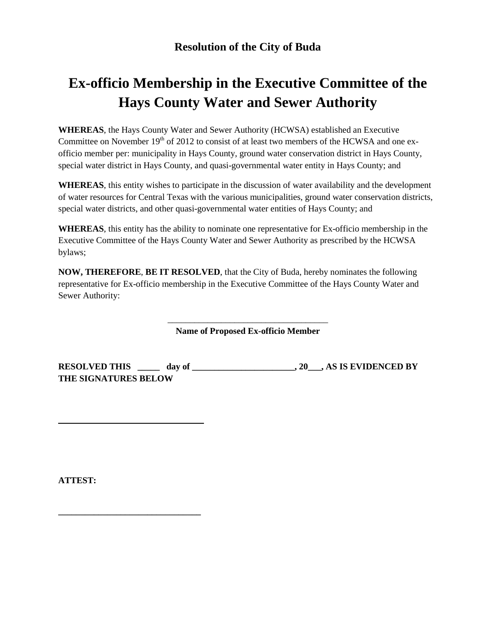## **Ex-officio Membership in the Executive Committee of the Hays County Water and Sewer Authority**

**WHEREAS**, the Hays County Water and Sewer Authority (HCWSA) established an Executive Committee on November 19<sup>th</sup> of 2012 to consist of at least two members of the HCWSA and one exofficio member per: municipality in Hays County, ground water conservation district in Hays County, special water district in Hays County, and quasi-governmental water entity in Hays County; and

**WHEREAS**, this entity wishes to participate in the discussion of water availability and the development of water resources for Central Texas with the various municipalities, ground water conservation districts, special water districts, and other quasi-governmental water entities of Hays County; and

**WHEREAS**, this entity has the ability to nominate one representative for Ex-officio membership in the Executive Committee of the Hays County Water and Sewer Authority as prescribed by the HCWSA bylaws;

**NOW, THEREFORE**, **BE IT RESOLVED**, that the City of Buda, hereby nominates the following representative for Ex-officio membership in the Executive Committee of the Hays County Water and Sewer Authority:

> \_\_\_\_\_\_\_\_\_\_\_\_\_\_\_\_\_\_\_\_\_\_\_\_\_\_\_\_\_\_\_\_\_\_\_\_ **Name of Proposed Ex-officio Member**

**RESOLVED THIS \_\_\_\_\_ day of \_\_\_\_\_\_\_\_\_\_\_\_\_\_\_\_\_\_\_\_\_\_\_, 20\_\_\_, AS IS EVIDENCED BY THE SIGNATURES BELOW**

**ATTEST:**

**\_\_\_\_\_\_\_\_\_\_\_\_\_\_\_\_\_\_\_\_\_\_\_\_\_\_\_\_\_\_\_\_**